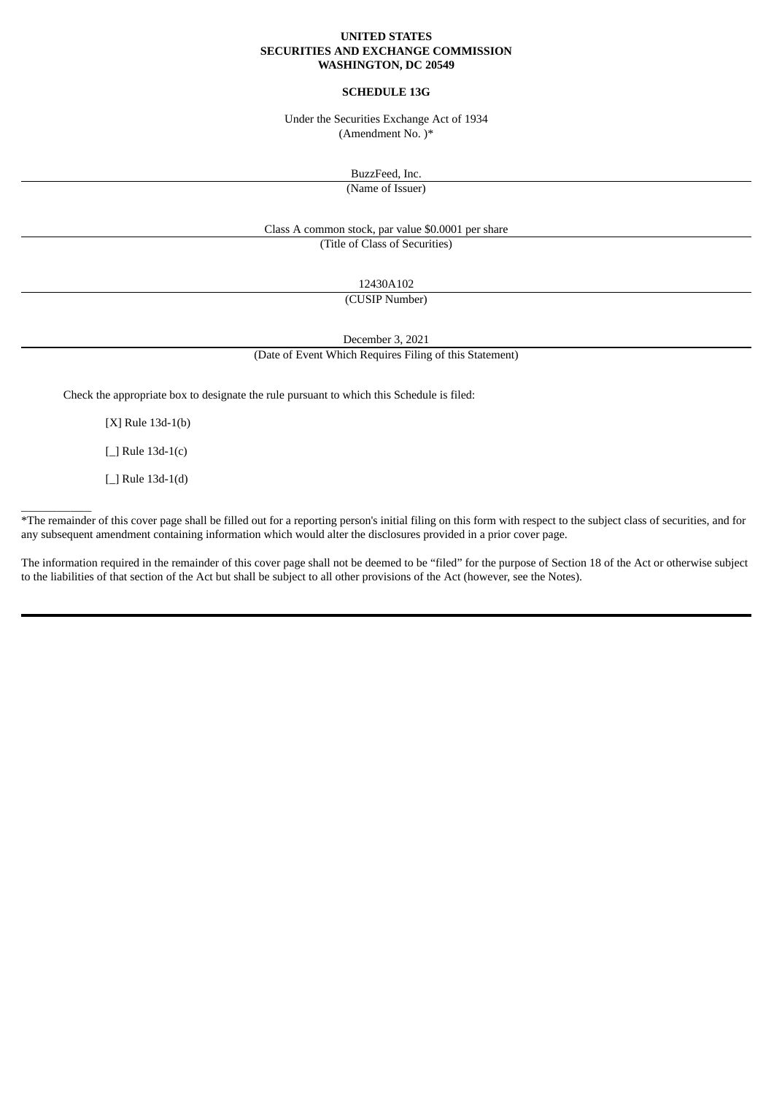## **UNITED STATES SECURITIES AND EXCHANGE COMMISSION WASHINGTON, DC 20549**

## **SCHEDULE 13G**

Under the Securities Exchange Act of 1934 (Amendment No. )\*

BuzzFeed, Inc.

(Name of Issuer)

Class A common stock, par value \$0.0001 per share

(Title of Class of Securities)

12430A102

(CUSIP Number)

December 3, 2021

(Date of Event Which Requires Filing of this Statement)

Check the appropriate box to designate the rule pursuant to which this Schedule is filed:

[X] Rule 13d-1(b)

[\_] Rule 13d-1(c)

[\_] Rule 13d-1(d)

 $\frac{1}{2}$ 

\*The remainder of this cover page shall be filled out for a reporting person's initial filing on this form with respect to the subject class of securities, and for any subsequent amendment containing information which would alter the disclosures provided in a prior cover page.

The information required in the remainder of this cover page shall not be deemed to be "filed" for the purpose of Section 18 of the Act or otherwise subject to the liabilities of that section of the Act but shall be subject to all other provisions of the Act (however, see the Notes).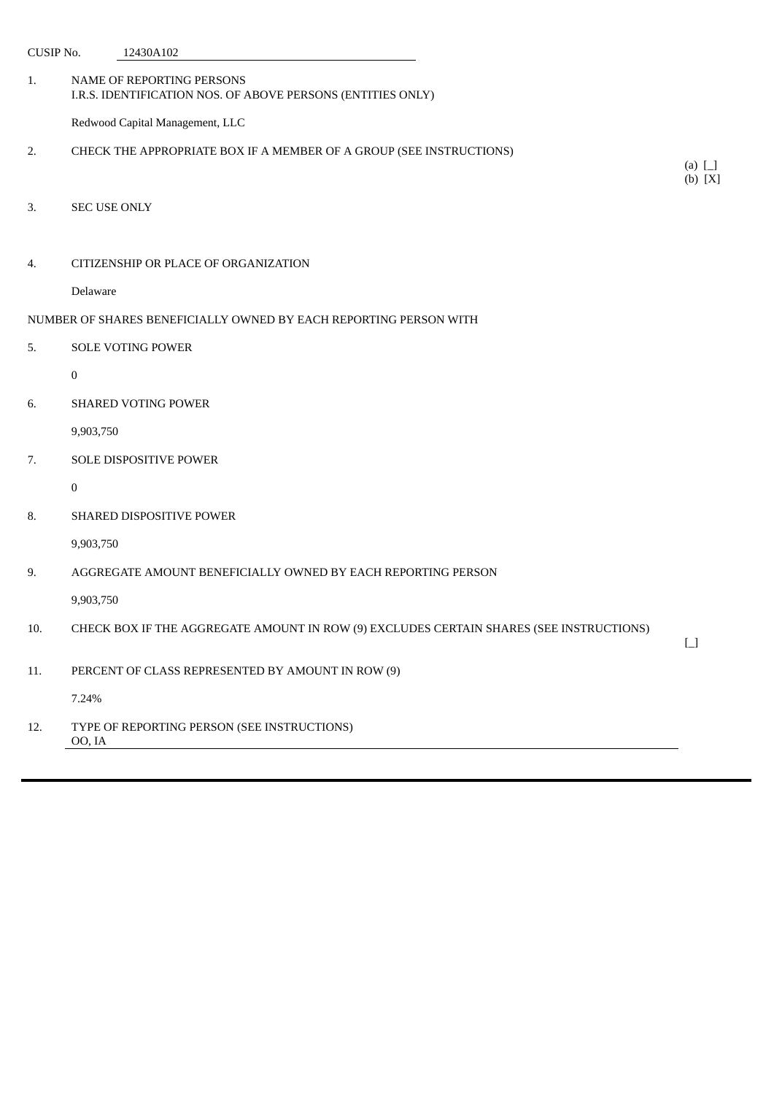| <b>CUSIP No.</b> |                     | 12430A102                                                                                |                                        |
|------------------|---------------------|------------------------------------------------------------------------------------------|----------------------------------------|
| 1.               |                     | NAME OF REPORTING PERSONS<br>I.R.S. IDENTIFICATION NOS. OF ABOVE PERSONS (ENTITIES ONLY) |                                        |
|                  |                     | Redwood Capital Management, LLC                                                          |                                        |
| 2.               |                     | CHECK THE APPROPRIATE BOX IF A MEMBER OF A GROUP (SEE INSTRUCTIONS)                      | (a) $\Box$<br>(b) [X]                  |
| 3.               | <b>SEC USE ONLY</b> |                                                                                          |                                        |
| 4.               |                     | CITIZENSHIP OR PLACE OF ORGANIZATION                                                     |                                        |
|                  | Delaware            |                                                                                          |                                        |
|                  |                     | NUMBER OF SHARES BENEFICIALLY OWNED BY EACH REPORTING PERSON WITH                        |                                        |
| 5.               |                     | SOLE VOTING POWER                                                                        |                                        |
|                  | $\boldsymbol{0}$    |                                                                                          |                                        |
| 6.               |                     | SHARED VOTING POWER                                                                      |                                        |
|                  | 9,903,750           |                                                                                          |                                        |
| 7.               |                     | SOLE DISPOSITIVE POWER                                                                   |                                        |
|                  | $\bf{0}$            |                                                                                          |                                        |
| 8.               |                     | SHARED DISPOSITIVE POWER                                                                 |                                        |
|                  | 9,903,750           |                                                                                          |                                        |
| 9.               |                     | AGGREGATE AMOUNT BENEFICIALLY OWNED BY EACH REPORTING PERSON                             |                                        |
|                  | 9,903,750           |                                                                                          |                                        |
| 10.              |                     | CHECK BOX IF THE AGGREGATE AMOUNT IN ROW (9) EXCLUDES CERTAIN SHARES (SEE INSTRUCTIONS)  | $\begin{bmatrix} 1 \\ 1 \end{bmatrix}$ |
| 11.              |                     | PERCENT OF CLASS REPRESENTED BY AMOUNT IN ROW (9)                                        |                                        |
|                  | 7.24%               |                                                                                          |                                        |
| 12.              | OO, IA              | TYPE OF REPORTING PERSON (SEE INSTRUCTIONS)                                              |                                        |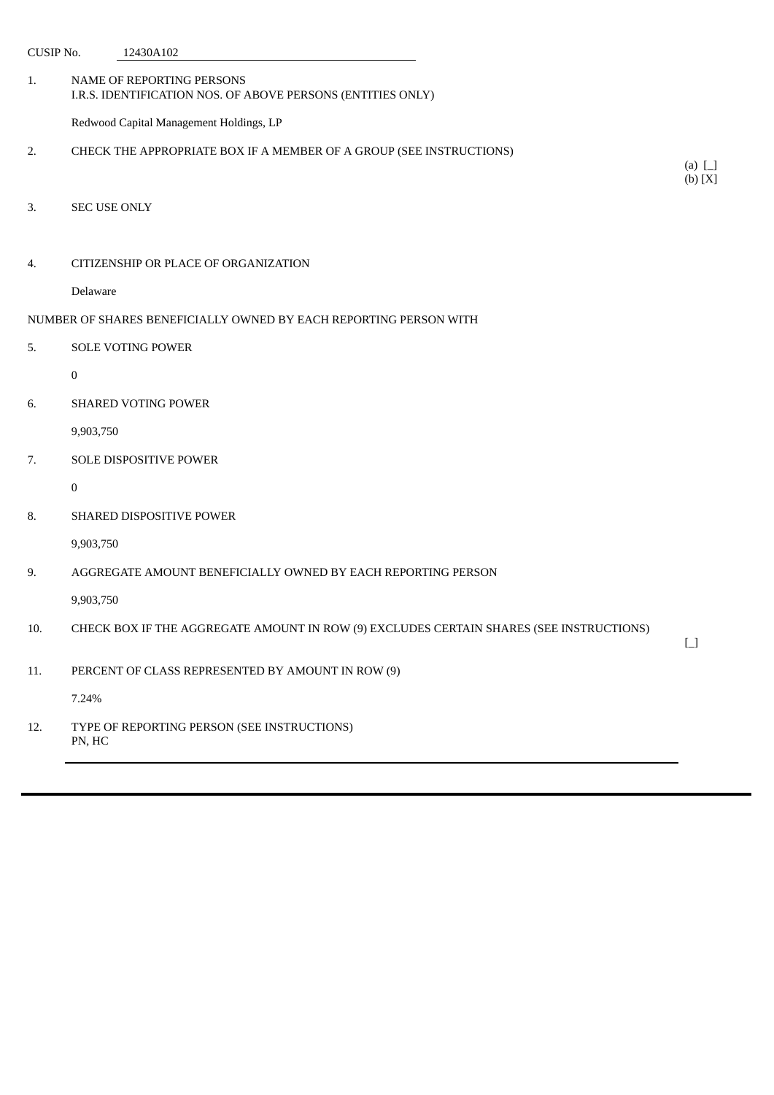| <b>CUSIP No.</b> |                     | 12430A102                                                                                |                                        |
|------------------|---------------------|------------------------------------------------------------------------------------------|----------------------------------------|
| 1.               |                     | NAME OF REPORTING PERSONS<br>I.R.S. IDENTIFICATION NOS. OF ABOVE PERSONS (ENTITIES ONLY) |                                        |
|                  |                     | Redwood Capital Management Holdings, LP                                                  |                                        |
| 2.               |                     | CHECK THE APPROPRIATE BOX IF A MEMBER OF A GROUP (SEE INSTRUCTIONS)                      | (a) $\Box$                             |
|                  |                     |                                                                                          | (b) [X]                                |
| 3.               | <b>SEC USE ONLY</b> |                                                                                          |                                        |
|                  |                     |                                                                                          |                                        |
| 4.               |                     | CITIZENSHIP OR PLACE OF ORGANIZATION                                                     |                                        |
|                  | Delaware            |                                                                                          |                                        |
|                  |                     | NUMBER OF SHARES BENEFICIALLY OWNED BY EACH REPORTING PERSON WITH                        |                                        |
| 5.               |                     | <b>SOLE VOTING POWER</b>                                                                 |                                        |
|                  | $\mathbf{0}$        |                                                                                          |                                        |
| 6.               |                     | SHARED VOTING POWER                                                                      |                                        |
|                  | 9,903,750           |                                                                                          |                                        |
| 7.               |                     | SOLE DISPOSITIVE POWER                                                                   |                                        |
|                  | $\boldsymbol{0}$    |                                                                                          |                                        |
| 8.               |                     | SHARED DISPOSITIVE POWER                                                                 |                                        |
|                  | 9,903,750           |                                                                                          |                                        |
| 9.               |                     | AGGREGATE AMOUNT BENEFICIALLY OWNED BY EACH REPORTING PERSON                             |                                        |
|                  | 9,903,750           |                                                                                          |                                        |
| 10.              |                     | CHECK BOX IF THE AGGREGATE AMOUNT IN ROW (9) EXCLUDES CERTAIN SHARES (SEE INSTRUCTIONS)  | $\begin{bmatrix} 1 \\ 1 \end{bmatrix}$ |
| 11.              |                     | PERCENT OF CLASS REPRESENTED BY AMOUNT IN ROW (9)                                        |                                        |
|                  | 7.24%               |                                                                                          |                                        |
| 12.              | PN, HC              | TYPE OF REPORTING PERSON (SEE INSTRUCTIONS)                                              |                                        |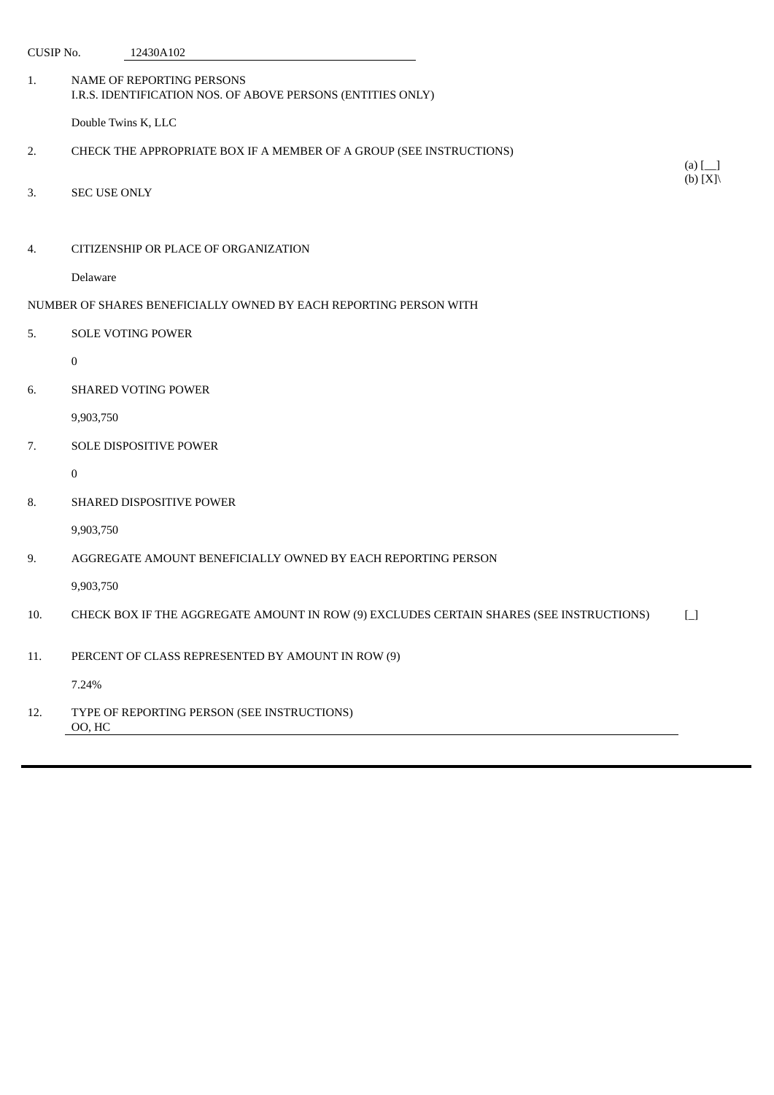| CUSIP No. |                     | 12430A102                                                                                |                                   |
|-----------|---------------------|------------------------------------------------------------------------------------------|-----------------------------------|
| 1.        |                     | NAME OF REPORTING PERSONS<br>I.R.S. IDENTIFICATION NOS. OF ABOVE PERSONS (ENTITIES ONLY) |                                   |
|           | Double Twins K, LLC |                                                                                          |                                   |
| 2.        |                     | CHECK THE APPROPRIATE BOX IF A MEMBER OF A GROUP (SEE INSTRUCTIONS)                      |                                   |
| 3.        | <b>SEC USE ONLY</b> |                                                                                          | (a) $[\_]$<br>(b) $[X] \setminus$ |
| 4.        |                     | CITIZENSHIP OR PLACE OF ORGANIZATION                                                     |                                   |
|           | Delaware            |                                                                                          |                                   |
|           |                     | NUMBER OF SHARES BENEFICIALLY OWNED BY EACH REPORTING PERSON WITH                        |                                   |
| 5.        |                     | <b>SOLE VOTING POWER</b>                                                                 |                                   |
|           | $\bf{0}$            |                                                                                          |                                   |
| 6.        |                     | SHARED VOTING POWER                                                                      |                                   |
|           | 9,903,750           |                                                                                          |                                   |
| 7.        |                     | SOLE DISPOSITIVE POWER                                                                   |                                   |
|           | $\bf{0}$            |                                                                                          |                                   |
| 8.        |                     | <b>SHARED DISPOSITIVE POWER</b>                                                          |                                   |
|           | 9,903,750           |                                                                                          |                                   |
| 9.        |                     | AGGREGATE AMOUNT BENEFICIALLY OWNED BY EACH REPORTING PERSON                             |                                   |
|           | 9,903,750           |                                                                                          |                                   |
| 10.       |                     | CHECK BOX IF THE AGGREGATE AMOUNT IN ROW (9) EXCLUDES CERTAIN SHARES (SEE INSTRUCTIONS)  | $\Box$                            |
| 11.       |                     | PERCENT OF CLASS REPRESENTED BY AMOUNT IN ROW (9)                                        |                                   |
|           | 7.24%               |                                                                                          |                                   |
| 12.       | OO, HC              | TYPE OF REPORTING PERSON (SEE INSTRUCTIONS)                                              |                                   |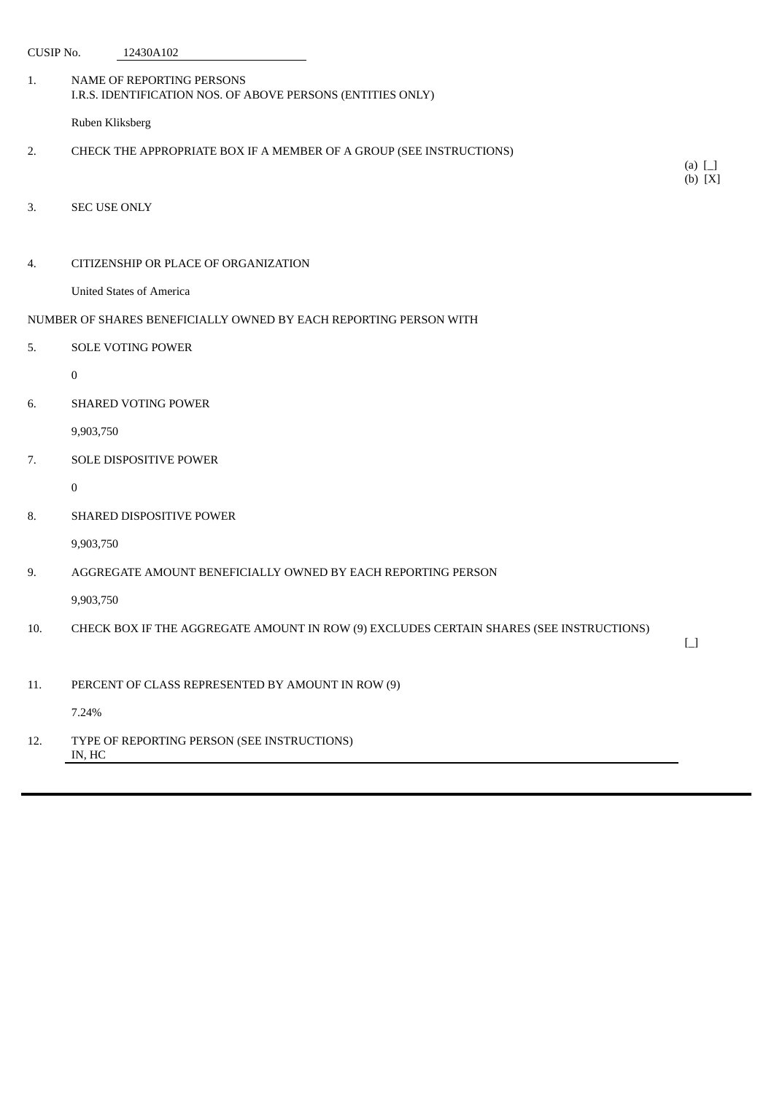| <b>CUSIP No.</b> |                     | 12430A102                                                                                |                                        |
|------------------|---------------------|------------------------------------------------------------------------------------------|----------------------------------------|
| 1.               |                     | NAME OF REPORTING PERSONS<br>I.R.S. IDENTIFICATION NOS. OF ABOVE PERSONS (ENTITIES ONLY) |                                        |
|                  | Ruben Kliksberg     |                                                                                          |                                        |
| 2.               |                     | CHECK THE APPROPRIATE BOX IF A MEMBER OF A GROUP (SEE INSTRUCTIONS)                      |                                        |
|                  |                     |                                                                                          | (a) $\Box$<br>(b) [X]                  |
| 3.               | <b>SEC USE ONLY</b> |                                                                                          |                                        |
|                  |                     |                                                                                          |                                        |
| 4.               |                     | CITIZENSHIP OR PLACE OF ORGANIZATION                                                     |                                        |
|                  |                     | <b>United States of America</b>                                                          |                                        |
|                  |                     | NUMBER OF SHARES BENEFICIALLY OWNED BY EACH REPORTING PERSON WITH                        |                                        |
| 5.               |                     | <b>SOLE VOTING POWER</b>                                                                 |                                        |
|                  | $\mathbf{0}$        |                                                                                          |                                        |
| 6.               |                     | SHARED VOTING POWER                                                                      |                                        |
|                  | 9,903,750           |                                                                                          |                                        |
| 7.               |                     | SOLE DISPOSITIVE POWER                                                                   |                                        |
|                  | $\bf{0}$            |                                                                                          |                                        |
| 8.               |                     | SHARED DISPOSITIVE POWER                                                                 |                                        |
|                  | 9,903,750           |                                                                                          |                                        |
| 9.               |                     | AGGREGATE AMOUNT BENEFICIALLY OWNED BY EACH REPORTING PERSON                             |                                        |
|                  | 9,903,750           |                                                                                          |                                        |
| 10.              |                     | CHECK BOX IF THE AGGREGATE AMOUNT IN ROW (9) EXCLUDES CERTAIN SHARES (SEE INSTRUCTIONS)  |                                        |
|                  |                     |                                                                                          | $\begin{bmatrix} 1 \\ 1 \end{bmatrix}$ |
| 11.              |                     | PERCENT OF CLASS REPRESENTED BY AMOUNT IN ROW (9)                                        |                                        |
|                  | 7.24%               |                                                                                          |                                        |
| 12.              | IN, HC              | TYPE OF REPORTING PERSON (SEE INSTRUCTIONS)                                              |                                        |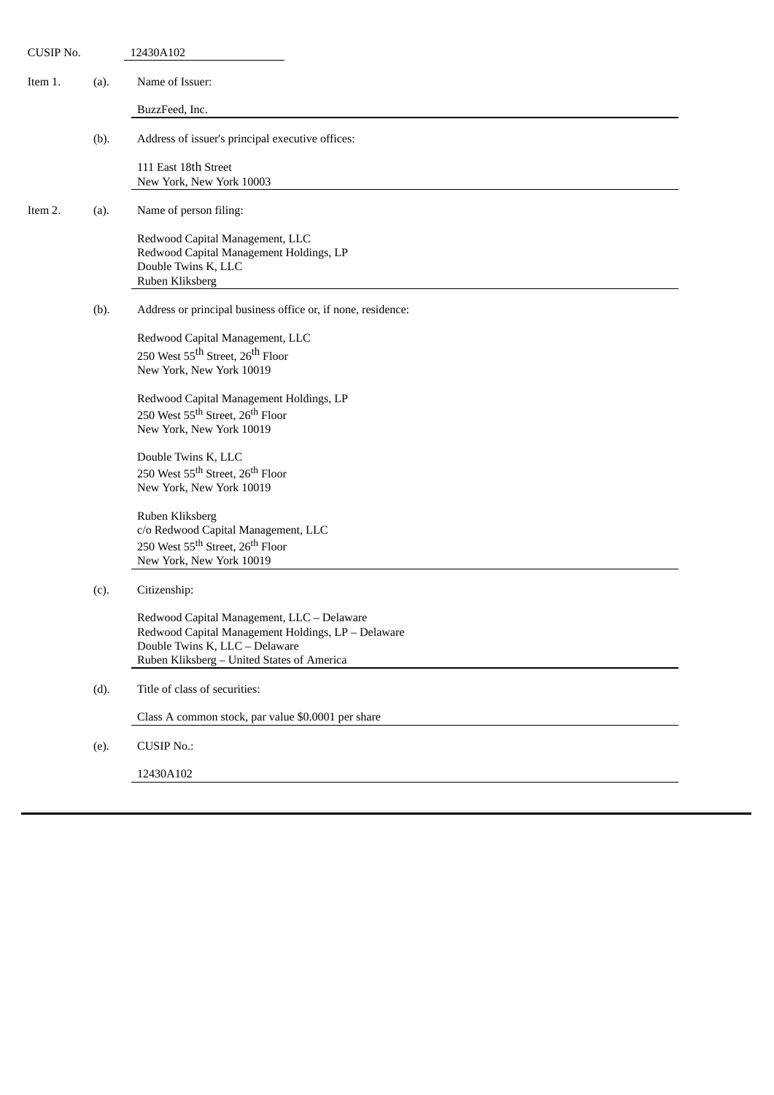| CUSIP No. |      | 12430A102                                                                            |
|-----------|------|--------------------------------------------------------------------------------------|
| Item 1.   | (a). | Name of Issuer:                                                                      |
|           |      | BuzzFeed, Inc.                                                                       |
|           | (b). | Address of issuer's principal executive offices:                                     |
|           |      | 111 East 18th Street                                                                 |
|           |      | New York, New York 10003                                                             |
| Item 2.   | (a). | Name of person filing:                                                               |
|           |      | Redwood Capital Management, LLC                                                      |
|           |      | Redwood Capital Management Holdings, LP<br>Double Twins K, LLC                       |
|           |      | Ruben Kliksberg                                                                      |
|           | (b). | Address or principal business office or, if none, residence:                         |
|           |      | Redwood Capital Management, LLC                                                      |
|           |      | 250 West 55 <sup>th</sup> Street, 26 <sup>th</sup> Floor                             |
|           |      | New York, New York 10019                                                             |
|           |      | Redwood Capital Management Holdings, LP                                              |
|           |      | 250 West 55 <sup>th</sup> Street, 26 <sup>th</sup> Floor                             |
|           |      | New York, New York 10019                                                             |
|           |      | Double Twins K, LLC                                                                  |
|           |      | 250 West 55 <sup>th</sup> Street, 26 <sup>th</sup> Floor                             |
|           |      | New York, New York 10019                                                             |
|           |      | Ruben Kliksberg                                                                      |
|           |      | c/o Redwood Capital Management, LLC                                                  |
|           |      | 250 West 55 <sup>th</sup> Street, 26 <sup>th</sup> Floor<br>New York, New York 10019 |
|           |      |                                                                                      |
|           | (c). | Citizenship:                                                                         |
|           |      | Redwood Capital Management, LLC - Delaware                                           |
|           |      | Redwood Capital Management Holdings, LP - Delaware                                   |
|           |      | Double Twins K, LLC - Delaware<br>Ruben Kliksberg - United States of America         |
|           |      |                                                                                      |
|           | (d). | Title of class of securities:                                                        |
|           |      | Class A common stock, par value \$0.0001 per share                                   |
|           | (e). | <b>CUSIP No.:</b>                                                                    |
|           |      | 12430A102                                                                            |
|           |      |                                                                                      |
|           |      |                                                                                      |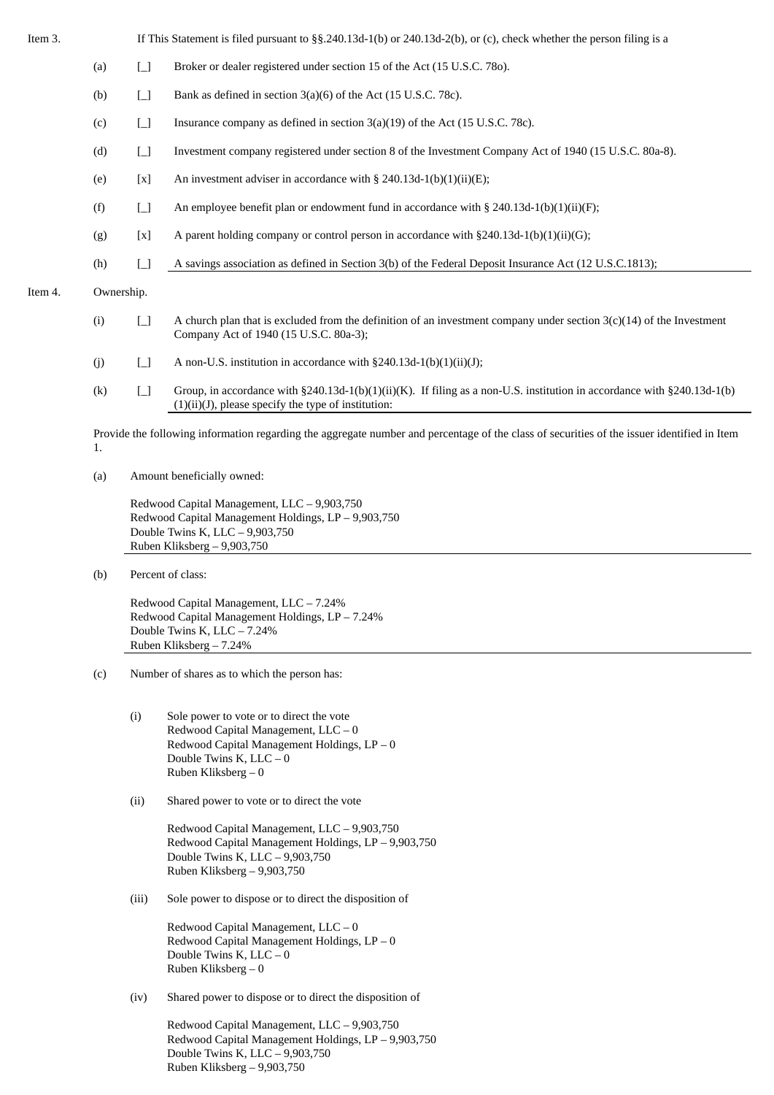Item 3. If This Statement is filed pursuant to §§.240.13d-1(b) or 240.13d-2(b), or (c), check whether the person filing is a (a) [\_] Broker or dealer registered under section 15 of the Act (15 U.S.C. 78o). (b)  $\boxed{\ }$  Bank as defined in section 3(a)(6) of the Act (15 U.S.C. 78c). (c)  $\Box$  Insurance company as defined in section 3(a)(19) of the Act (15 U.S.C. 78c). (d) [\_] Investment company registered under section 8 of the Investment Company Act of 1940 (15 U.S.C. 80a-8). (e)  $[x]$  An investment adviser in accordance with § 240.13d-1(b)(1)(ii)(E); (f)  $\Box$  An employee benefit plan or endowment fund in accordance with § 240.13d-1(b)(1)(ii)(F); (g)  $[x]$  A parent holding company or control person in accordance with §240.13d-1(b)(1)(ii)(G); (h) [\_] A savings association as defined in Section 3(b) of the Federal Deposit Insurance Act (12 U.S.C.1813); Item 4. Ownership. (i)  $\Box$  A church plan that is excluded from the definition of an investment company under section 3(c)(14) of the Investment Company Act of 1940 (15 U.S.C. 80a-3);

- (j)  $\Box$  A non-U.S. institution in accordance with §240.13d-1(b)(1)(ii)(J);
- (k)  $\Box$  Group, in accordance with §240.13d-1(b)(1)(ii)(K). If filing as a non-U.S. institution in accordance with §240.13d-1(b)  $(1)(ii)(J)$ , please specify the type of institution:

Provide the following information regarding the aggregate number and percentage of the class of securities of the issuer identified in Item 1.

(a) Amount beneficially owned:

Redwood Capital Management, LLC – 9,903,750 Redwood Capital Management Holdings, LP – 9,903,750 Double Twins K, LLC – 9,903,750 Ruben Kliksberg – 9,903,750

(b) Percent of class:

Redwood Capital Management, LLC – 7.24% Redwood Capital Management Holdings, LP – 7.24% Double Twins K, LLC – 7.24% Ruben Kliksberg – 7.24%

- (c) Number of shares as to which the person has:
	- (i) Sole power to vote or to direct the vote Redwood Capital Management, LLC – 0 Redwood Capital Management Holdings, LP – 0 Double Twins K, LLC – 0 Ruben Kliksberg – 0
	- (ii) Shared power to vote or to direct the vote

Redwood Capital Management, LLC – 9,903,750 Redwood Capital Management Holdings, LP – 9,903,750 Double Twins K, LLC – 9,903,750 Ruben Kliksberg – 9,903,750

(iii) Sole power to dispose or to direct the disposition of

Redwood Capital Management, LLC – 0 Redwood Capital Management Holdings, LP – 0 Double Twins K, LLC – 0 Ruben Kliksberg – 0

(iv) Shared power to dispose or to direct the disposition of

Redwood Capital Management, LLC – 9,903,750 Redwood Capital Management Holdings, LP – 9,903,750 Double Twins K, LLC – 9,903,750 Ruben Kliksberg – 9,903,750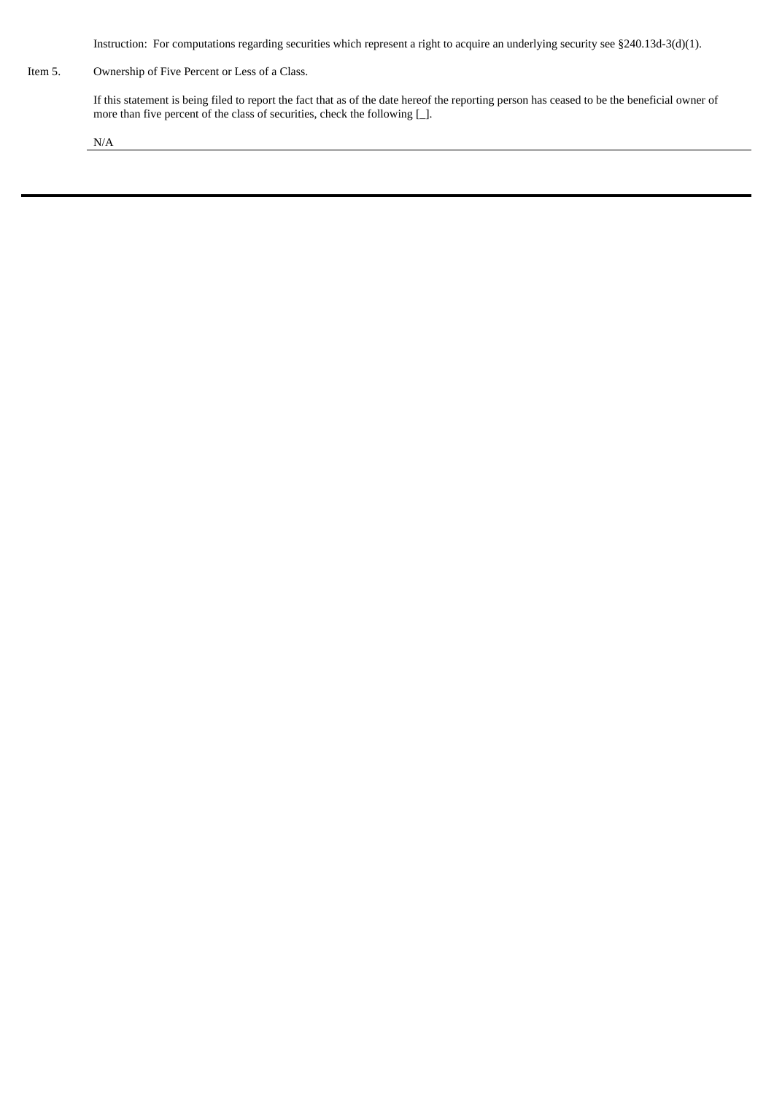Instruction: For computations regarding securities which represent a right to acquire an underlying security see §240.13d-3(d)(1).

Item 5. Ownership of Five Percent or Less of a Class.

If this statement is being filed to report the fact that as of the date hereof the reporting person has ceased to be the beneficial owner of more than five percent of the class of securities, check the following [\_].

N/A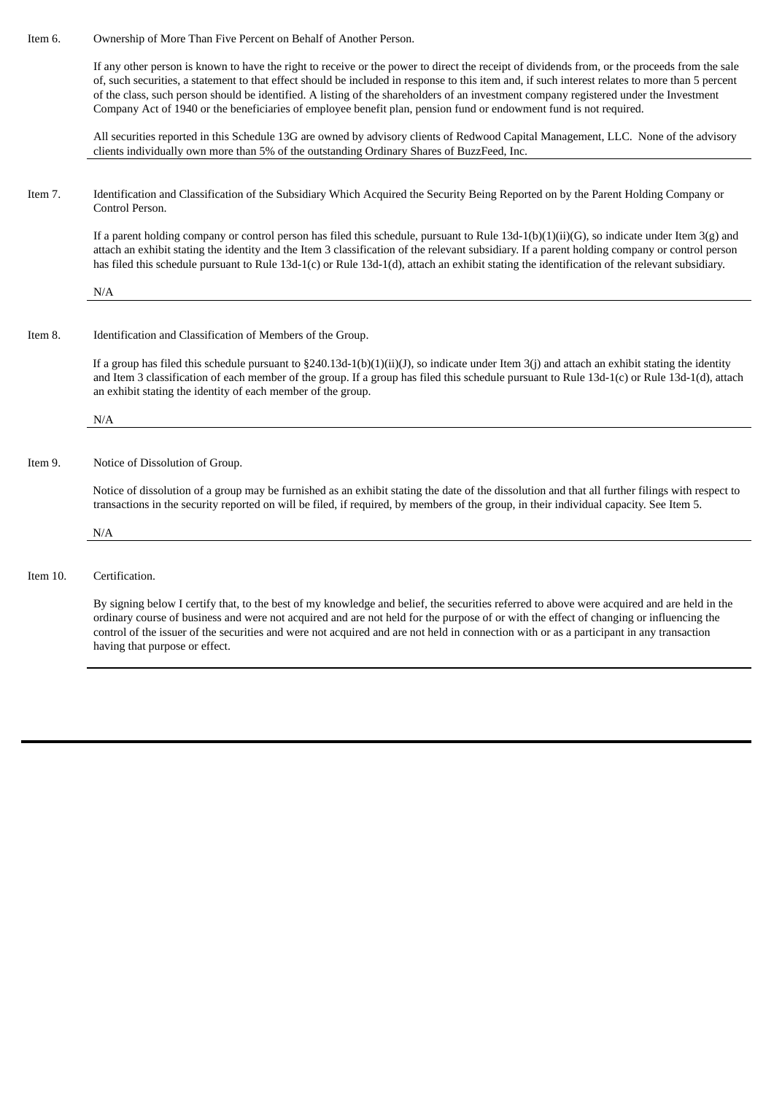Item 6. Ownership of More Than Five Percent on Behalf of Another Person.

If any other person is known to have the right to receive or the power to direct the receipt of dividends from, or the proceeds from the sale of, such securities, a statement to that effect should be included in response to this item and, if such interest relates to more than 5 percent of the class, such person should be identified. A listing of the shareholders of an investment company registered under the Investment Company Act of 1940 or the beneficiaries of employee benefit plan, pension fund or endowment fund is not required.

All securities reported in this Schedule 13G are owned by advisory clients of Redwood Capital Management, LLC. None of the advisory clients individually own more than 5% of the outstanding Ordinary Shares of BuzzFeed, Inc.

Item 7. Identification and Classification of the Subsidiary Which Acquired the Security Being Reported on by the Parent Holding Company or Control Person.

If a parent holding company or control person has filed this schedule, pursuant to Rule 13d-1(b)(1)(ii)(G), so indicate under Item 3(g) and attach an exhibit stating the identity and the Item 3 classification of the relevant subsidiary. If a parent holding company or control person has filed this schedule pursuant to Rule 13d-1(c) or Rule 13d-1(d), attach an exhibit stating the identification of the relevant subsidiary.

N/A

Item 8. Identification and Classification of Members of the Group.

If a group has filed this schedule pursuant to §240.13d-1(b)(1)(ii)(J), so indicate under Item 3(j) and attach an exhibit stating the identity and Item 3 classification of each member of the group. If a group has filed this schedule pursuant to Rule 13d-1(c) or Rule 13d-1(d), attach an exhibit stating the identity of each member of the group.

N/A

Item 9. Notice of Dissolution of Group.

Notice of dissolution of a group may be furnished as an exhibit stating the date of the dissolution and that all further filings with respect to transactions in the security reported on will be filed, if required, by members of the group, in their individual capacity. See Item 5.

N/A

Item 10. Certification.

By signing below I certify that, to the best of my knowledge and belief, the securities referred to above were acquired and are held in the ordinary course of business and were not acquired and are not held for the purpose of or with the effect of changing or influencing the control of the issuer of the securities and were not acquired and are not held in connection with or as a participant in any transaction having that purpose or effect.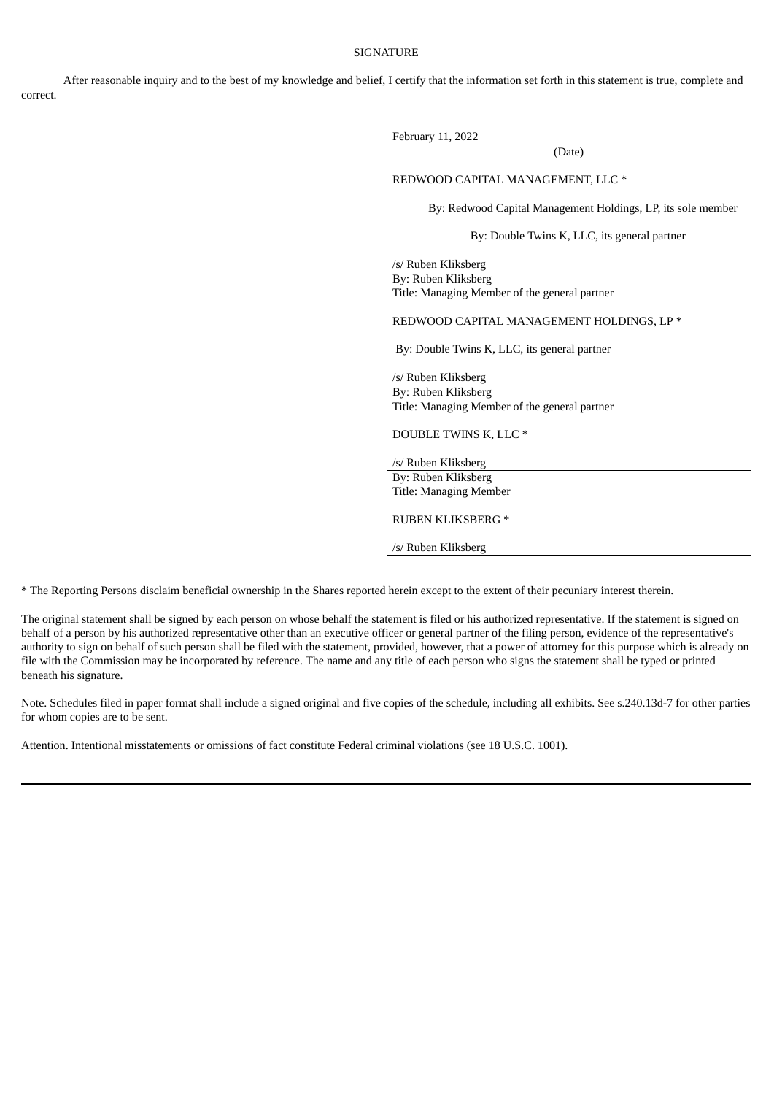## **SIGNATURE**

After reasonable inquiry and to the best of my knowledge and belief, I certify that the information set forth in this statement is true, complete and correct.

| February 11, 2022                                            |
|--------------------------------------------------------------|
| (Date)                                                       |
| REDWOOD CAPITAL MANAGEMENT, LLC *                            |
| By: Redwood Capital Management Holdings, LP, its sole member |
| By: Double Twins K, LLC, its general partner                 |
| /s/ Ruben Kliksberg                                          |
| By: Ruben Kliksberg                                          |
| Title: Managing Member of the general partner                |
| REDWOOD CAPITAL MANAGEMENT HOLDINGS, LP *                    |
| By: Double Twins K, LLC, its general partner                 |
| /s/ Ruben Kliksberg                                          |
| By: Ruben Kliksberg                                          |
| Title: Managing Member of the general partner                |
| DOUBLE TWINS K, LLC *                                        |
| /s/ Ruben Kliksberg                                          |
| By: Ruben Kliksberg                                          |
| Title: Managing Member                                       |
| <b>RUBEN KLIKSBERG *</b>                                     |
| /s/ Ruben Kliksberg                                          |
|                                                              |

\* The Reporting Persons disclaim beneficial ownership in the Shares reported herein except to the extent of their pecuniary interest therein.

The original statement shall be signed by each person on whose behalf the statement is filed or his authorized representative. If the statement is signed on behalf of a person by his authorized representative other than an executive officer or general partner of the filing person, evidence of the representative's authority to sign on behalf of such person shall be filed with the statement, provided, however, that a power of attorney for this purpose which is already on file with the Commission may be incorporated by reference. The name and any title of each person who signs the statement shall be typed or printed beneath his signature.

Note. Schedules filed in paper format shall include a signed original and five copies of the schedule, including all exhibits. See s.240.13d-7 for other parties for whom copies are to be sent.

Attention. Intentional misstatements or omissions of fact constitute Federal criminal violations (see 18 U.S.C. 1001).